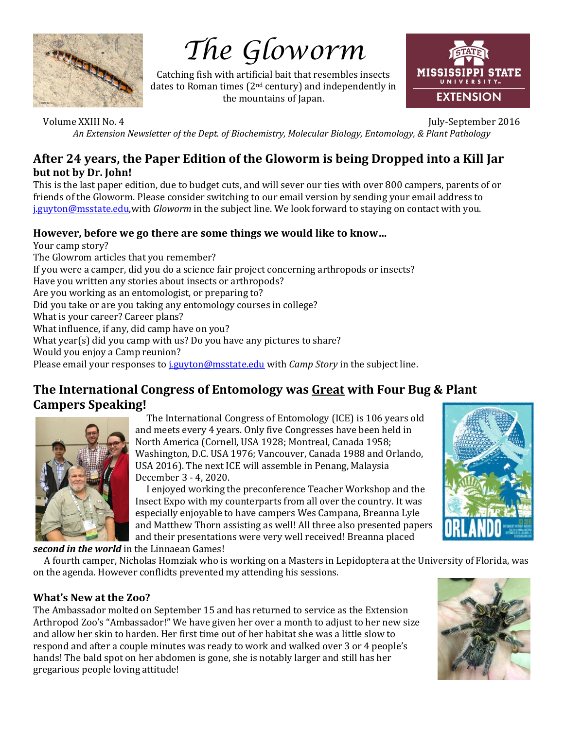

# *The Gloworm*

Catching fish with artificial bait that resembles insects dates to Roman times ( $2<sup>nd</sup>$  century) and independently in the mountains of Japan.



Volume XXIII No. 4 July-September 2016 *An Extension Newsletter of the Dept. of Biochemistry, Molecular Biology, Entomology, & Plant Pathology* 

# **After 24 years, the Paper Edition of the Gloworm is being Dropped into a Kill Jar but not by Dr. John!**

This is the last paper edition, due to budget cuts, and will sever our ties with over 800 campers, parents of or friends of the Gloworm. Please consider switching to our email version by sending your email address to [j.guyton@msstate.edu,w](mailto:j.guyton@msstate.edu)ith *Gloworm* in the subject line. We look forward to staying on contact with you.

#### **However, before we go there are some things we would like to know…**

Your camp story? The Glowrom articles that you remember? If you were a camper, did you do a science fair project concerning arthropods or insects? Have you written any stories about insects or arthropods? Are you working as an entomologist, or preparing to? Did you take or are you taking any entomology courses in college? What is your career? Career plans? What influence, if any, did camp have on you? What year(s) did you camp with us? Do you have any pictures to share? Would you enjoy a Camp reunion? Please email your responses to [j.guyton@msstate.edu](mailto:j.guyton@msstate.edu) with *Camp Story* in the subject line.

# **The International Congress of Entomology was Great with Four Bug & Plant Campers Speaking!**



 The International Congress of Entomology (ICE) is 106 years old and meets every 4 years. Only five Congresses have been held in North America (Cornell, USA 1928; Montreal, Canada 1958; Washington, D.C. USA 1976; Vancouver, Canada 1988 and Orlando, USA 2016). The next ICE will assemble in Penang, Malaysia December 3 - 4, 2020.

 I enjoyed working the preconference Teacher Workshop and the Insect Expo with my counterparts from all over the country. It was especially enjoyable to have campers Wes Campana, Breanna Lyle and Matthew Thorn assisting as well! All three also presented papers and their presentations were very well received! Breanna placed

*second in the world* in the Linnaean Games!

 A fourth camper, Nicholas Homziak who is working on a Masters in Lepidoptera at the University of Florida, was on the agenda. However conflidts prevented my attending his sessions.

#### **What's New at the Zoo?**

The Ambassador molted on September 15 and has returned to service as the Extension Arthropod Zoo's "Ambassador!" We have given her over a month to adjust to her new size and allow her skin to harden. Her first time out of her habitat she was a little slow to respond and after a couple minutes was ready to work and walked over 3 or 4 people's hands! The bald spot on her abdomen is gone, she is notably larger and still has her gregarious people loving attitude!



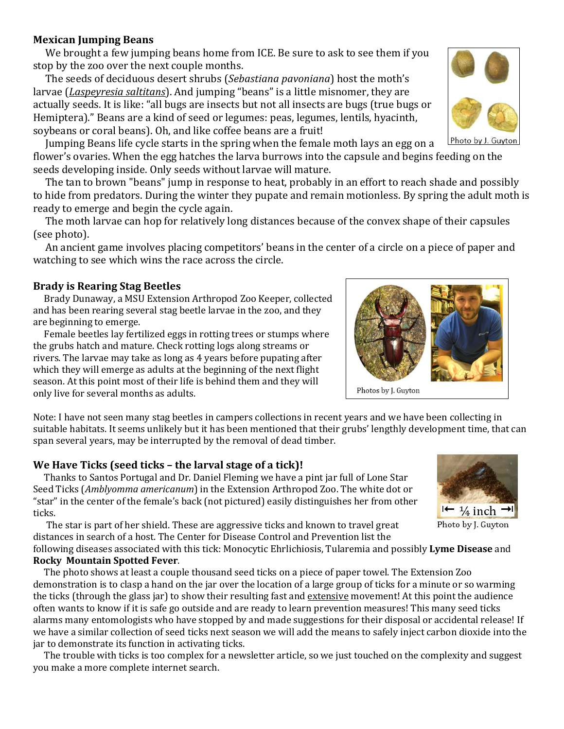# **Mexican Jumping Beans**

 We brought a few jumping beans home from ICE. Be sure to ask to see them if you stop by the zoo over the next couple months.

 The seeds of deciduous desert shrubs (*Sebastiana pavoniana*) host the moth's larvae (*Laspeyresia saltitans*). And jumping "beans" is a little misnomer, they are actually seeds. It is like: "all bugs are insects but not all insects are bugs (true bugs or Hemiptera)." Beans are a kind of seed or legumes: peas, legumes, lentils, hyacinth, soybeans or coral beans). Oh, and like coffee beans are a fruit!

Jumping Beans life cycle starts in the spring when the female moth lays an egg on a

flower's ovaries. When the egg hatches the larva burrows into the capsule and begins feeding on the seeds developing inside. Only seeds without larvae will mature.

 The tan to brown "beans" jump in response to heat, probably in an effort to reach shade and possibly to hide from predators. During the winter they pupate and remain motionless. By spring the adult moth is ready to emerge and begin the cycle again.

 The moth larvae can hop for relatively long distances because of the convex shape of their capsules (see photo).

 An ancient game involves placing competitors' beans in the center of a circle on a piece of paper and watching to see which wins the race across the circle.

# **Brady is Rearing Stag Beetles**

 Brady Dunaway, a MSU Extension Arthropod Zoo Keeper, collected and has been rearing several stag beetle larvae in the zoo, and they are beginning to emerge.

 Female beetles lay fertilized eggs in rotting trees or stumps where the grubs hatch and mature. Check rotting logs along streams or rivers. The larvae may take as long as 4 years before pupating after which they will emerge as adults at the beginning of the next flight season. At this point most of their life is behind them and they will only live for several months as adults.

Note: I have not seen many stag beetles in campers collections in recent years and we have been collecting in suitable habitats. It seems unlikely but it has been mentioned that their grubs' lengthly development time, that can span several years, may be interrupted by the removal of dead timber.

# **We Have Ticks (seed ticks – the larval stage of a tick)!**

 Thanks to Santos Portugal and Dr. Daniel Fleming we have a pint jar full of Lone Star Seed Ticks (*Amblyomma americanum*) in the Extension Arthropod Zoo. The white dot or "star" in the center of the female's back (not pictured) easily distinguishes her from other ticks.

 The star is part of her shield. These are aggressive ticks and known to travel great distances in search of a host. The Center for Disease Control and Prevention list the

following diseases associated with this tick: Monocytic Ehrlichiosis, Tularemia and possibly **Lyme Disease** and **Rocky Mountain Spotted Fever**.

 The photo shows at least a couple thousand seed ticks on a piece of paper towel. The Extension Zoo demonstration is to clasp a hand on the jar over the location of a large group of ticks for a minute or so warming the ticks (through the glass jar) to show their resulting fast and extensive movement! At this point the audience often wants to know if it is safe go outside and are ready to learn prevention measures! This many seed ticks alarms many entomologists who have stopped by and made suggestions for their disposal or accidental release! If we have a similar collection of seed ticks next season we will add the means to safely inject carbon dioxide into the jar to demonstrate its function in activating ticks.

 The trouble with ticks is too complex for a newsletter article, so we just touched on the complexity and suggest you make a more complete internet search.

 $\mapsto \frac{1}{4}$  inch Photo by J. Guyton







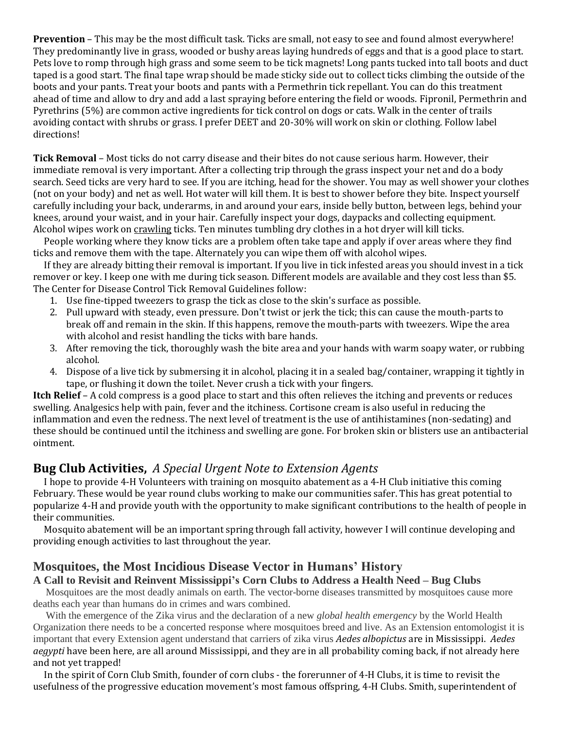**Prevention** – This may be the most difficult task. Ticks are small, not easy to see and found almost everywhere! They predominantly live in grass, wooded or bushy areas laying hundreds of eggs and that is a good place to start. Pets love to romp through high grass and some seem to be tick magnets! Long pants tucked into tall boots and duct taped is a good start. The final tape wrap should be made sticky side out to collect ticks climbing the outside of the boots and your pants. Treat your boots and pants with a Permethrin tick repellant. You can do this treatment ahead of time and allow to dry and add a last spraying before entering the field or woods. Fipronil, Permethrin and Pyrethrins (5%) are common active ingredients for tick control on dogs or cats. Walk in the center of trails avoiding contact with shrubs or grass. I prefer DEET and 20-30% will work on skin or clothing. Follow label directions!

**Tick Removal** – Most ticks do not carry disease and their bites do not cause serious harm. However, their immediate removal is very important. After a collecting trip through the grass inspect your net and do a body search. Seed ticks are very hard to see. If you are itching, head for the shower. You may as well shower your clothes (not on your body) and net as well. Hot water will kill them. It is best to shower before they bite. Inspect yourself carefully including your back, underarms, in and around your ears, inside belly button, between legs, behind your knees, around your waist, and in your hair. Carefully inspect your dogs, daypacks and collecting equipment. Alcohol wipes work on crawling ticks. Ten minutes tumbling dry clothes in a hot dryer will kill ticks.

 People working where they know ticks are a problem often take tape and apply if over areas where they find ticks and remove them with the tape. Alternately you can wipe them off with alcohol wipes.

 If they are already bitting their removal is important. If you live in tick infested areas you should invest in a tick remover or key. I keep one with me during tick season. Different models are available and they cost less than \$5. The Center for Disease Control Tick Removal Guidelines follow:

- 1. Use fine-tipped tweezers to grasp the tick as close to the skin's surface as possible.
- 2. Pull upward with steady, even pressure. Don't twist or jerk the tick; this can cause the mouth-parts to break off and remain in the skin. If this happens, remove the mouth-parts with tweezers. Wipe the area with alcohol and resist handling the ticks with bare hands.
- 3. After removing the tick, thoroughly wash the bite area and your hands with warm soapy water, or rubbing alcohol.
- 4. Dispose of a live tick by submersing it in alcohol, placing it in a sealed bag/container, wrapping it tightly in tape, or flushing it down the toilet. Never crush a tick with your fingers.

**Itch Relief** – A cold compress is a good place to start and this often relieves the itching and prevents or reduces swelling. Analgesics help with pain, fever and the itchiness. Cortisone cream is also useful in reducing the inflammation and even the redness. The next level of treatment is the use of antihistamines (non-sedating) and these should be continued until the itchiness and swelling are gone. For broken skin or blisters use an antibacterial ointment.

### **Bug Club Activities,** *A Special Urgent Note to Extension Agents*

 I hope to provide 4-H Volunteers with training on mosquito abatement as a 4-H Club initiative this coming February. These would be year round clubs working to make our communities safer. This has great potential to popularize 4-H and provide youth with the opportunity to make significant contributions to the health of people in their communities.

 Mosquito abatement will be an important spring through fall activity, however I will continue developing and providing enough activities to last throughout the year.

#### **Mosquitoes, the Most Incidious Disease Vector in Humans' History**

#### **A Call to Revisit and Reinvent Mississippi's Corn Clubs to Address a Health Need – Bug Clubs**

 Mosquitoes are the most deadly animals on earth. The vector-borne diseases transmitted by mosquitoes cause more deaths each year than humans do in crimes and wars combined.

 With the emergence of the Zika virus and the declaration of a new *global health emergency* by the World Health Organization there needs to be a concerted response where mosquitoes breed and live. As an Extension entomologist it is important that every Extension agent understand that carriers of zika virus *Aedes albopictus* are in Mississippi. *Aedes aegypti* have been here, are all around Mississippi, and they are in all probability coming back, if not already here and not yet trapped!

 In the spirit of Corn Club Smith, founder of corn clubs - the forerunner of 4-H Clubs, it is time to revisit the usefulness of the progressive education movement's most famous offspring, 4-H Clubs. Smith, superintendent of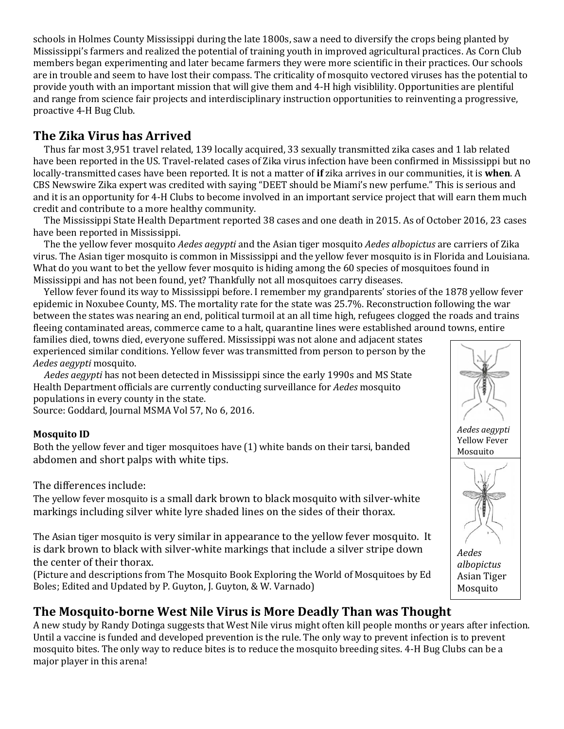schools in Holmes County Mississippi during the late 1800s, saw a need to diversify the crops being planted by Mississippi's farmers and realized the potential of training youth in improved agricultural practices. As Corn Club members began experimenting and later became farmers they were more scientific in their practices. Our schools are in trouble and seem to have lost their compass. The [criticality](https://www.google.com/url?sa=t&rct=j&q=&esrc=s&source=web&cd=1&cad=rja&uact=8&ved=0ahUKEwiMtcnT67LQAhUBuI8KHf4ACg4QygQIIzAA&url=https%3A%2F%2Fen.wikipedia.org%2Fwiki%2FCritical_mass%23Criticality_in_nuclear_weapon_design&usg=AFQjCNFwS37MZ3-G1yjGvQ2ri5-4YMszxg&sig2=DYezHF6B7O3Nn1ktoVtDjA&bvm=bv.139250283,d.c2I) of mosquito vectored viruses has the potential to provide youth with an important mission that will give them and 4-H high visiblility. Opportunities are plentiful and range from science fair projects and interdisciplinary instruction opportunities to reinventing a progressive, proactive 4-H Bug Club.

# **The Zika Virus has Arrived**

 Thus far most 3,951 travel related, 139 locally acquired, 33 sexually transmitted zika cases and 1 lab related have been reported in the US. Travel-related cases of Zika virus infection have been confirmed in Mississippi but no locally-transmitted cases have been reported. It is not a matter of **if** zika arrives in our communities, it is **when**. A CBS Newswire Zika expert was credited with saying "DEET should be Miami's new perfume." This is serious and and it is an opportunity for 4-H Clubs to become involved in an important service project that will earn them much credit and contribute to a more healthy community.

 The Mississippi State Health Department reported 38 cases and one death in 2015. As of October 2016, 23 cases have been reported in Mississippi.

 The the yellow fever mosquito *Aedes aegypti* and the Asian tiger mosquito *Aedes albopictus* are carriers of Zika virus. The Asian tiger mosquito is common in Mississippi and the yellow fever mosquito is in Florida and Louisiana. What do you want to bet the yellow fever mosquito is hiding among the 60 species of mosquitoes found in Mississippi and has not been found, yet? Thankfully not all mosquitoes carry diseases.

 Yellow fever found its way to Mississippi before. I remember my grandparents' stories of the 1878 yellow fever epidemic in Noxubee County, MS. The mortality rate for the state was 25.7%. Reconstruction following the war between the states was nearing an end, political turmoil at an all time high, refugees clogged the roads and trains fleeing contaminated areas, commerce came to a halt, quarantine lines were established around towns, entire

families died, towns died, everyone suffered. Mississippi was not alone and adjacent states experienced similar conditions. Yellow fever was transmitted from person to person by the *Aedes aegypti* mosquito.

 *Aedes aegypti* has not been detected in Mississippi since the early 1990s and MS State Health Department officials are currently conducting surveillance for *Aedes* mosquito populations in every county in the state.

Source: Goddard, Journal MSMA Vol 57, No 6, 2016.

#### **Mosquito ID**

Both the yellow fever and tiger mosquitoes have (1) white bands on their tarsi, banded abdomen and short palps with white tips.

The differences include:

The yellow fever mosquito is a small dark brown to black mosquito with silver-white markings including silver white lyre shaded lines on the sides of their thorax.

The Asian tiger mosquito is very similar in appearance to the yellow fever mosquito. It is dark brown to black with silver-white markings that include a silver stripe down the center of their thorax.

(Picture and descriptions from The Mosquito Book Exploring the World of Mosquitoes by Ed Boles; Edited and Updated by P. Guyton, J. Guyton, & W. Varnado)

# **The Mosquito-borne West Nile Virus is More Deadly Than was Thought**

A new study by Randy Dotinga suggests that West Nile virus might often kill people months or years after infection. Until a vaccine is funded and developed prevention is the rule. The only way to prevent infection is to prevent mosquito bites. The only way to reduce bites is to reduce the mosquito breeding sites. 4-H Bug Clubs can be a major player in this arena!

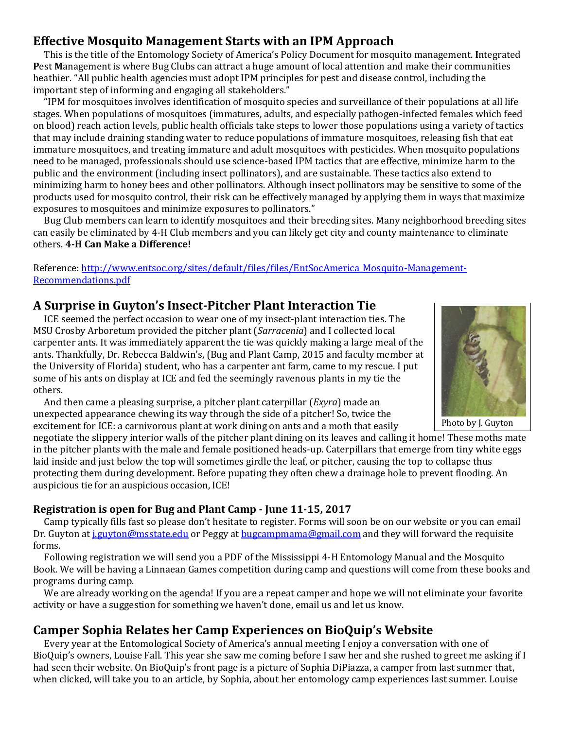# **Effective Mosquito Management Starts with an IPM Approach**

 This is the title of the Entomology Society of America's Policy Document for mosquito management. **I**ntegrated **P**est **M**anagement is where Bug Clubs can attract a huge amount of local attention and make their communities heathier. "All public health agencies must adopt IPM principles for pest and disease control, including the important step of informing and engaging all stakeholders."

 "IPM for mosquitoes involves identification of mosquito species and surveillance of their populations at all life stages. When populations of mosquitoes (immatures, adults, and especially pathogen-infected females which feed on blood) reach action levels, public health officials take steps to lower those populations using a variety of tactics that may include draining standing water to reduce populations of immature mosquitoes, releasing fish that eat immature mosquitoes, and treating immature and adult mosquitoes with pesticides. When mosquito populations need to be managed, professionals should use science-based IPM tactics that are effective, minimize harm to the public and the environment (including insect pollinators), and are sustainable. These tactics also extend to minimizing harm to honey bees and other pollinators. Although insect pollinators may be sensitive to some of the products used for mosquito control, their risk can be effectively managed by applying them in ways that maximize exposures to mosquitoes and minimize exposures to pollinators."

 Bug Club members can learn to identify mosquitoes and their breeding sites. Many neighborhood breeding sites can easily be eliminated by 4-H Club members and you can likely get city and county maintenance to eliminate others. **4-H Can Make a Difference!**

#### Reference: http://www.entsoc.org/sites/default/files/files/EntSocAmerica Mosquito-Management-[Recommendations.pdf](http://www.entsoc.org/sites/default/files/files/EntSocAmerica_Mosquito-Management-Recommendations.pdf)

# **A Surprise in Guyton's Insect-Pitcher Plant Interaction Tie**

 ICE seemed the perfect occasion to wear one of my insect-plant interaction ties. The MSU Crosby Arboretum provided the pitcher plant (*Sarracenia*) and I collected local carpenter ants. It was immediately apparent the tie was quickly making a large meal of the ants. Thankfully, Dr. Rebecca Baldwin's, (Bug and Plant Camp, 2015 and faculty member at the University of Florida) student, who has a carpenter ant farm, came to my rescue. I put some of his ants on display at ICE and fed the seemingly ravenous plants in my tie the others.

 And then came a pleasing surprise, a pitcher plant caterpillar (*Exyra*) made an unexpected appearance chewing its way through the side of a pitcher! So, twice the excitement for ICE: a carnivorous plant at work dining on ants and a moth that easily

negotiate the slippery interior walls of the pitcher plant dining on its leaves and calling it home! These moths mate in the pitcher plants with the male and female positioned heads-up. Caterpillars that emerge from tiny white eggs laid inside and just below the top will sometimes girdle the leaf, or pitcher, causing the top to collapse thus protecting them during development. Before pupating they often chew a drainage hole to prevent flooding. An auspicious tie for an auspicious occasion, ICE!

#### **Registration is open for Bug and Plant Camp - June 11-15, 2017**

 Camp typically fills fast so please don't hesitate to register. Forms will soon be on our website or you can email Dr. Guyton a[t j.guyton@msstate.edu](mailto:j.guyton@msstate.edu) or Peggy at [bugcampmama@gmail.com](mailto:bugcampmama@gmail.com) and they will forward the requisite forms.

 Following registration we will send you a PDF of the Mississippi 4-H Entomology Manual and the Mosquito Book. We will be having a Linnaean Games competition during camp and questions will come from these books and programs during camp.

We are already working on the agenda! If you are a repeat camper and hope we will not eliminate your favorite activity or have a suggestion for something we haven't done, email us and let us know.

# **Camper Sophia Relates her Camp Experiences on BioQuip's Website**

 Every year at the Entomological Society of America's annual meeting I enjoy a conversation with one of BioQuip's owners, Louise Fall. This year she saw me coming before I saw her and she rushed to greet me asking if I had seen their website. On BioQuip's front page is a picture of Sophia DiPiazza, a camper from last summer that, when clicked, will take you to an article, by Sophia, about her entomology camp experiences last summer. Louise

Photo by J. Guyton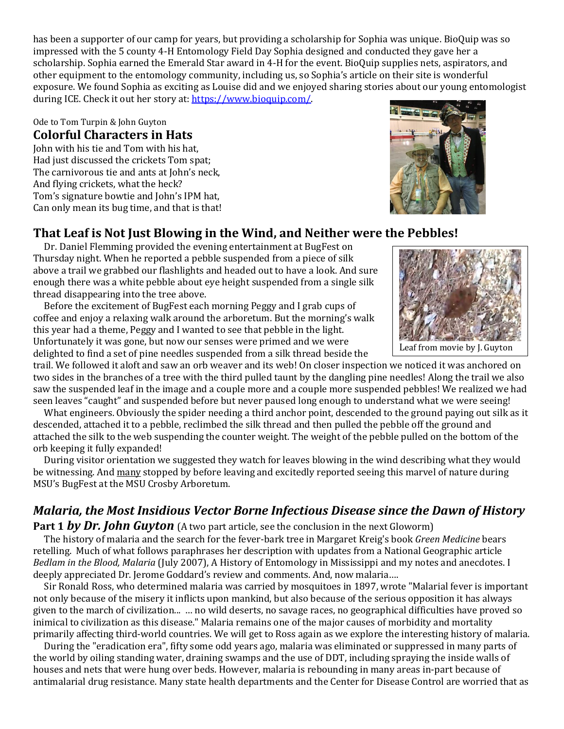has been a supporter of our camp for years, but providing a scholarship for Sophia was unique. BioQuip was so impressed with the 5 county 4-H Entomology Field Day Sophia designed and conducted they gave her a scholarship. Sophia earned the Emerald Star award in 4-H for the event. BioQuip supplies nets, aspirators, and other equipment to the entomology community, including us, so Sophia's article on their site is wonderful exposure. We found Sophia as exciting as Louise did and we enjoyed sharing stories about our young entomologist during ICE. Check it out her story at: [https://www.bioquip.com/.](https://www.bioquip.com/)

Ode to Tom Turpin & John Guyton

### **Colorful Characters in Hats**

John with his tie and Tom with his hat, Had just discussed the crickets Tom spat; The carnivorous tie and ants at John's neck, And flying crickets, what the heck? Tom's signature bowtie and John's IPM hat, Can only mean its bug time, and that is that!

# **That Leaf is Not Just Blowing in the Wind, and Neither were the Pebbles!**

 Dr. Daniel Flemming provided the evening entertainment at BugFest on Thursday night. When he reported a pebble suspended from a piece of silk above a trail we grabbed our flashlights and headed out to have a look. And sure enough there was a white pebble about eye height suspended from a single silk thread disappearing into the tree above.

 Before the excitement of BugFest each morning Peggy and I grab cups of coffee and enjoy a relaxing walk around the arboretum. But the morning's walk this year had a theme, Peggy and I wanted to see that pebble in the light. Unfortunately it was gone, but now our senses were primed and we were delighted to find a set of pine needles suspended from a silk thread beside the

trail. We followed it aloft and saw an orb weaver and its web! On closer inspection we noticed it was anchored on two sides in the branches of a tree with the third pulled taunt by the dangling pine needles! Along the trail we also saw the suspended leaf in the image and a couple more and a couple more suspended pebbles! We realized we had seen leaves "caught" and suspended before but never paused long enough to understand what we were seeing!

 What engineers. Obviously the spider needing a third anchor point, descended to the ground paying out silk as it descended, attached it to a pebble, reclimbed the silk thread and then pulled the pebble off the ground and attached the silk to the web suspending the counter weight. The weight of the pebble pulled on the bottom of the orb keeping it fully expanded!

 During visitor orientation we suggested they watch for leaves blowing in the wind describing what they would be witnessing. And many stopped by before leaving and excitedly reported seeing this marvel of nature during MSU's BugFest at the MSU Crosby Arboretum.

# *Malaria, the Most Insidious Vector Borne Infectious Disease since the Dawn of History*

**Part 1 by Dr. John Guyton** (A two part article, see the conclusion in the next Gloworm) The history of malaria and the search for the fever-bark tree in Margaret Kreig's book *Green Medicine* bears retelling. Much of what follows paraphrases her description with updates from a National Geographic article *Bedlam in the Blood, Malaria* (July 2007), A History of Entomology in Mississippi and my notes and anecdotes. I deeply appreciated Dr. Jerome Goddard's review and comments. And, now malaria….

 Sir Ronald Ross, who determined malaria was carried by mosquitoes in 1897, wrote "Malarial fever is important not only because of the misery it inflicts upon mankind, but also because of the serious opposition it has always given to the march of civilization... … no wild deserts, no savage races, no geographical difficulties have proved so inimical to civilization as this disease." Malaria remains one of the major causes of morbidity and mortality primarily affecting third-world countries. We will get to Ross again as we explore the interesting history of malaria.

 During the "eradication era", fifty some odd years ago, malaria was eliminated or suppressed in many parts of the world by oiling standing water, draining swamps and the use of DDT, including spraying the inside walls of houses and nets that were hung over beds. However, malaria is rebounding in many areas in-part because of antimalarial drug resistance. Many state health departments and the Center for Disease Control are worried that as



Leaf from movie by J. Guyton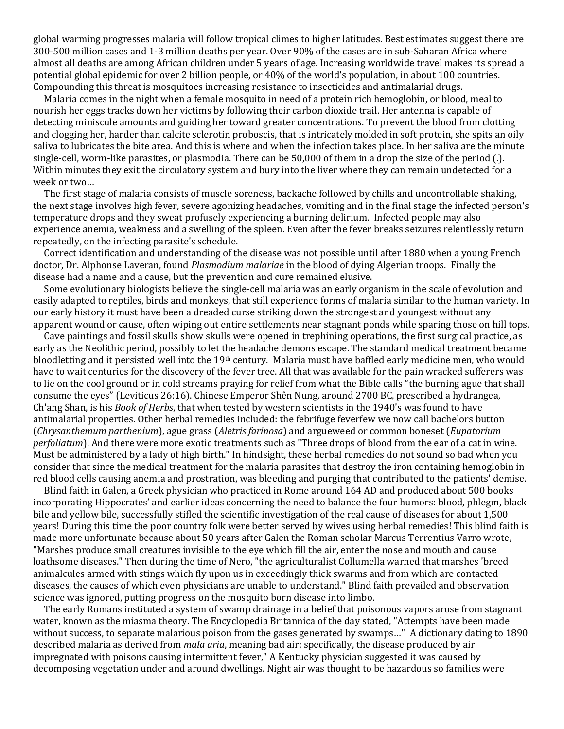global warming progresses malaria will follow tropical climes to higher latitudes. Best estimates suggest there are 300-500 million cases and 1-3 million deaths per year. Over 90% of the cases are in sub-Saharan Africa where almost all deaths are among African children under 5 years of age. Increasing worldwide travel makes its spread a potential global epidemic for over 2 billion people, or 40% of the world's population, in about 100 countries. Compounding this threat is mosquitoes increasing resistance to insecticides and antimalarial drugs.

 Malaria comes in the night when a female mosquito in need of a protein rich hemoglobin, or blood, meal to nourish her eggs tracks down her victims by following their carbon dioxide trail. Her antenna is capable of detecting miniscule amounts and guiding her toward greater concentrations. To prevent the blood from clotting and clogging her, harder than calcite sclerotin proboscis, that is intricately molded in soft protein, she spits an oily saliva to lubricates the bite area. And this is where and when the infection takes place. In her saliva are the minute single-cell, worm-like parasites, or plasmodia. There can be 50,000 of them in a drop the size of the period (.). Within minutes they exit the circulatory system and bury into the liver where they can remain undetected for a week or two…

 The first stage of malaria consists of muscle soreness, backache followed by chills and uncontrollable shaking, the next stage involves high fever, severe agonizing headaches, vomiting and in the final stage the infected person's temperature drops and they sweat profusely experiencing a burning delirium. Infected people may also experience anemia, weakness and a swelling of the spleen. Even after the fever breaks seizures relentlessly return repeatedly, on the infecting parasite's schedule.

 Correct identification and understanding of the disease was not possible until after 1880 when a young French doctor, Dr. Alphonse Laveran, found *Plasmodium malariae* in the blood of dying Algerian troops. Finally the disease had a name and a cause, but the prevention and cure remained elusive.

 Some evolutionary biologists believe the single-cell malaria was an early organism in the scale of evolution and easily adapted to reptiles, birds and monkeys, that still experience forms of malaria similar to the human variety. In our early history it must have been a dreaded curse striking down the strongest and youngest without any apparent wound or cause, often wiping out entire settlements near stagnant ponds while sparing those on hill tops.

 Cave paintings and fossil skulls show skulls were opened in trephining operations, the first surgical practice, as early as the Neolithic period, possibly to let the headache demons escape. The standard medical treatment became bloodletting and it persisted well into the 19th century. Malaria must have baffled early medicine men, who would have to wait centuries for the discovery of the fever tree. All that was available for the pain wracked sufferers was to lie on the cool ground or in cold streams praying for relief from what the Bible calls "the burning ague that shall consume the eyes" (Leviticus 26:16). Chinese Emperor Shên Nung, around 2700 BC, prescribed a hydrangea, Ch'ang Shan, is his *Book of Herbs*, that when tested by western scientists in the 1940's was found to have antimalarial properties. Other herbal remedies included: the febrifuge feverfew we now call bachelors button (*Chrysanthemum parthenium*), ague grass (*Aletris farinosa*) and argueweed or common boneset (*Eupatorium perfoliatum*). And there were more exotic treatments such as "Three drops of blood from the ear of a cat in wine. Must be administered by a lady of high birth." In hindsight, these herbal remedies do not sound so bad when you consider that since the medical treatment for the malaria parasites that destroy the iron containing hemoglobin in red blood cells causing anemia and prostration, was bleeding and purging that contributed to the patients' demise.

Blind faith in Galen, a Greek physician who practiced in Rome around 164 AD and produced about 500 books incorporating Hippocrates' and earlier ideas concerning the need to balance the four humors: blood, phlegm, black bile and yellow bile, successfully stifled the scientific investigation of the real cause of diseases for about 1,500 years! During this time the poor country folk were better served by wives using herbal remedies! This blind faith is made more unfortunate because about 50 years after Galen the Roman scholar Marcus Terrentius Varro wrote, "Marshes produce small creatures invisible to the eye which fill the air, enter the nose and mouth and cause loathsome diseases." Then during the time of Nero, "the agriculturalist Collumella warned that marshes 'breed animalcules armed with stings which fly upon us in exceedingly thick swarms and from which are contacted diseases, the causes of which even physicians are unable to understand." Blind faith prevailed and observation science was ignored, putting progress on the mosquito born disease into limbo.

 The early Romans instituted a system of swamp drainage in a belief that poisonous vapors arose from stagnant water, known as the miasma theory. The Encyclopedia Britannica of the day stated, "Attempts have been made without success, to separate malarious poison from the gases generated by swamps…" A dictionary dating to 1890 described malaria as derived from *mala aria*, meaning bad air; specifically, the disease produced by air impregnated with poisons causing intermittent fever," A Kentucky physician suggested it was caused by decomposing vegetation under and around dwellings. Night air was thought to be hazardous so families were